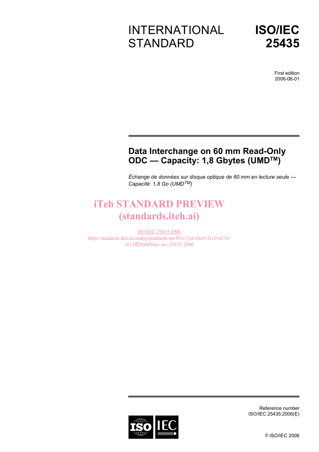# INTERNATIONAL **STANDARD**



First edition 2006-06-01

# **Data Interchange on 60 mm Read-Only ODC — Capacity: 1,8 Gbytes (UMDTM)**

*Échange de données sur disque optique de 60 mm en lecture seule — Capacité: 1,8 Go (UMDTM)* 

# iTeh STANDARD PREVIEW (standards.iteh.ai)

ISO/IEC 25435:2006 https://standards.iteh.ai/catalog/standards/sist/f91e15ef-e8c0-41c9-a534- 3e13ff2bb600/iso-iec-25435-2006



Reference number ISO/IEC 25435:2006(E)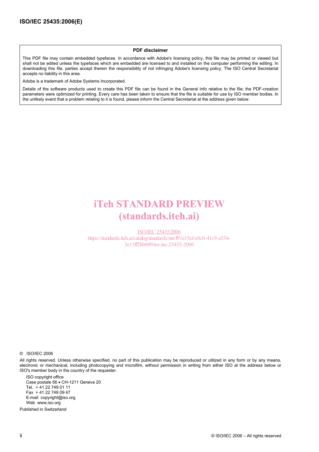#### **PDF disclaimer**

This PDF file may contain embedded typefaces. In accordance with Adobe's licensing policy, this file may be printed or viewed but shall not be edited unless the typefaces which are embedded are licensed to and installed on the computer performing the editing. In downloading this file, parties accept therein the responsibility of not infringing Adobe's licensing policy. The ISO Central Secretariat accepts no liability in this area.

Adobe is a trademark of Adobe Systems Incorporated.

Details of the software products used to create this PDF file can be found in the General Info relative to the file; the PDF-creation parameters were optimized for printing. Every care has been taken to ensure that the file is suitable for use by ISO member bodies. In the unlikely event that a problem relating to it is found, please inform the Central Secretariat at the address given below.

# iTeh STANDARD PREVIEW (standards.iteh.ai)

ISO/IEC 25435:2006 https://standards.iteh.ai/catalog/standards/sist/f91e15ef-e8c0-41c9-a534- 3e13ff2bb600/iso-iec-25435-2006

© ISO/IEC 2006

All rights reserved. Unless otherwise specified, no part of this publication may be reproduced or utilized in any form or by any means, electronic or mechanical, including photocopying and microfilm, without permission in writing from either ISO at the address below or ISO's member body in the country of the requester.

ISO copyright office Case postale 56 • CH-1211 Geneva 20 Tel. + 41 22 749 01 11 Fax + 41 22 749 09 47 E-mail copyright@iso.org Web www.iso.org

Published in Switzerland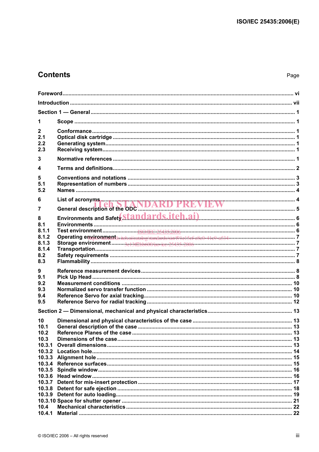# **Contents**

| 1              |                                                                                                                                                                                                                                |  |  |
|----------------|--------------------------------------------------------------------------------------------------------------------------------------------------------------------------------------------------------------------------------|--|--|
| $\mathbf{2}$   |                                                                                                                                                                                                                                |  |  |
| 2.1            |                                                                                                                                                                                                                                |  |  |
| 2.2            |                                                                                                                                                                                                                                |  |  |
| 2.3            |                                                                                                                                                                                                                                |  |  |
| 3              |                                                                                                                                                                                                                                |  |  |
| 4              |                                                                                                                                                                                                                                |  |  |
| 5              |                                                                                                                                                                                                                                |  |  |
| 5.1<br>5.2     |                                                                                                                                                                                                                                |  |  |
|                |                                                                                                                                                                                                                                |  |  |
| 6              |                                                                                                                                                                                                                                |  |  |
| 7              |                                                                                                                                                                                                                                |  |  |
| 8              | Environments and Safety Standards.itch.ai) [11] Environments and Safety Standards.itch.ai                                                                                                                                      |  |  |
| 8.1            |                                                                                                                                                                                                                                |  |  |
| 8.1.1          |                                                                                                                                                                                                                                |  |  |
| 8.1.2<br>8.1.3 | Operating environment is debailed and or development of the form of the party of the control of the control of the control of the control of the control of the control of the control of the control of the control of the co |  |  |
| 8.1.4          |                                                                                                                                                                                                                                |  |  |
| 8.2            |                                                                                                                                                                                                                                |  |  |
| 8.3            |                                                                                                                                                                                                                                |  |  |
| 9              |                                                                                                                                                                                                                                |  |  |
| 9.1            |                                                                                                                                                                                                                                |  |  |
| 9.2<br>9.3     |                                                                                                                                                                                                                                |  |  |
| 9.4            |                                                                                                                                                                                                                                |  |  |
| 9.5            |                                                                                                                                                                                                                                |  |  |
|                |                                                                                                                                                                                                                                |  |  |
| 10             |                                                                                                                                                                                                                                |  |  |
| 10.1           |                                                                                                                                                                                                                                |  |  |
| 10.2           |                                                                                                                                                                                                                                |  |  |
| 10.3           |                                                                                                                                                                                                                                |  |  |
| 10.3.1         |                                                                                                                                                                                                                                |  |  |
|                |                                                                                                                                                                                                                                |  |  |
| 10.3.4         |                                                                                                                                                                                                                                |  |  |
| 10.3.5         |                                                                                                                                                                                                                                |  |  |
|                |                                                                                                                                                                                                                                |  |  |
| 10.3.7         |                                                                                                                                                                                                                                |  |  |
| 10.3.8         |                                                                                                                                                                                                                                |  |  |
|                |                                                                                                                                                                                                                                |  |  |
| 10.4           |                                                                                                                                                                                                                                |  |  |
|                |                                                                                                                                                                                                                                |  |  |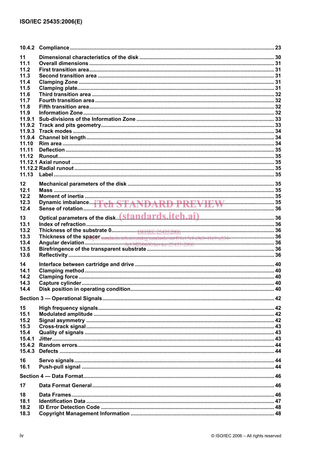| 11               |  |
|------------------|--|
| 11.1             |  |
| 11.2             |  |
| 11.3<br>11.4     |  |
| 11.5             |  |
| 11.6             |  |
| 11.7             |  |
| 11.8             |  |
| 11.9             |  |
| 11.9.1           |  |
| 11.9.2<br>11.9.3 |  |
| 11.9.4           |  |
| 11.10            |  |
| 11.11            |  |
| 11.12            |  |
|                  |  |
|                  |  |
| 11.13            |  |
| 12               |  |
| 12.1             |  |
| 12.2             |  |
| 12.3             |  |
| 12.4             |  |
| 13               |  |
| 13.1             |  |
| 13.2             |  |
| 13.3<br>13.4     |  |
| 13.5             |  |
| 13.6             |  |
| 14               |  |
| 14.1             |  |
| 14.2             |  |
| 14.3             |  |
| 14.4             |  |
|                  |  |
|                  |  |
| 15<br>15.1       |  |
| 15.2             |  |
| 15.3             |  |
| 15.4             |  |
| 15.4.1           |  |
| 15.4.2           |  |
| 15.4.3           |  |
| 16               |  |
| 16.1             |  |
|                  |  |
|                  |  |
| 17               |  |
|                  |  |
| 18               |  |
| 18.1             |  |
| 18.2<br>18.3     |  |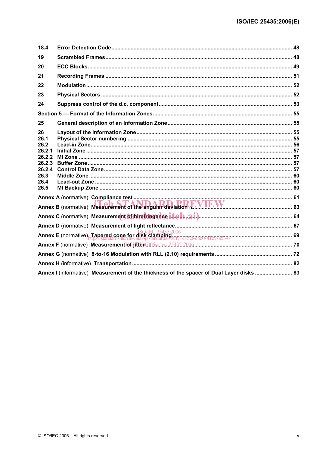| 18.4               |                                                                                          |  |
|--------------------|------------------------------------------------------------------------------------------|--|
| 19                 |                                                                                          |  |
| 20                 |                                                                                          |  |
| 21                 |                                                                                          |  |
| 22                 |                                                                                          |  |
| 23                 |                                                                                          |  |
| 24                 |                                                                                          |  |
|                    |                                                                                          |  |
| 25                 |                                                                                          |  |
| 26<br>26.1<br>26.2 |                                                                                          |  |
| 26.2.1             |                                                                                          |  |
| 26.2.2             |                                                                                          |  |
| 26.2.3<br>26.2.4   |                                                                                          |  |
| 26.3               |                                                                                          |  |
| 26.4               |                                                                                          |  |
| 26.5               |                                                                                          |  |
|                    |                                                                                          |  |
|                    | Annex B (normative) Measurement of the angular deviation de VIEW 63                      |  |
|                    |                                                                                          |  |
|                    |                                                                                          |  |
|                    |                                                                                          |  |
|                    |                                                                                          |  |
|                    |                                                                                          |  |
|                    |                                                                                          |  |
|                    | Annex I (informative) Measurement of the thickness of the spacer of Dual Layer disks  83 |  |
|                    |                                                                                          |  |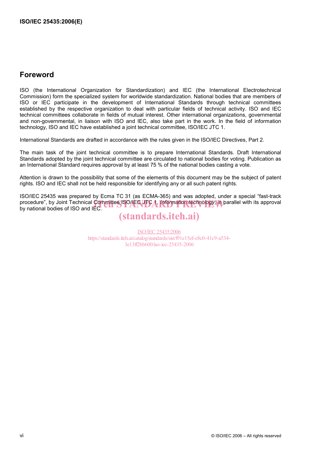# **Foreword**

ISO (the International Organization for Standardization) and IEC (the International Electrotechnical Commission) form the specialized system for worldwide standardization. National bodies that are members of ISO or IEC participate in the development of International Standards through technical committees established by the respective organization to deal with particular fields of technical activity. ISO and IEC technical committees collaborate in fields of mutual interest. Other international organizations, governmental and non-governmental, in liaison with ISO and IEC, also take part in the work. In the field of information technology, ISO and IEC have established a joint technical committee, ISO/IEC JTC 1.

International Standards are drafted in accordance with the rules given in the ISO/IEC Directives, Part 2.

The main task of the joint technical committee is to prepare International Standards. Draft International Standards adopted by the joint technical committee are circulated to national bodies for voting. Publication as an International Standard requires approval by at least 75 % of the national bodies casting a vote.

Attention is drawn to the possibility that some of the elements of this document may be the subject of patent rights. ISO and IEC shall not be held responsible for identifying any or all such patent rights.

ISO/IEC 25435 was prepared by Ecma TC 31 (as ECMA-365) and was adopted, under a special "fast-track procedure", by Joint Technical Committee ISO/IEC JTC 4, *Information technology*, in parallel with its approval<br>by national bodies of ISO and IEC. by national bodies of ISO and IEC.

# (standards.iteh.ai)

ISO/IEC 25435:2006 https://standards.iteh.ai/catalog/standards/sist/f91e15ef-e8c0-41c9-a534- 3e13ff2bb600/iso-iec-25435-2006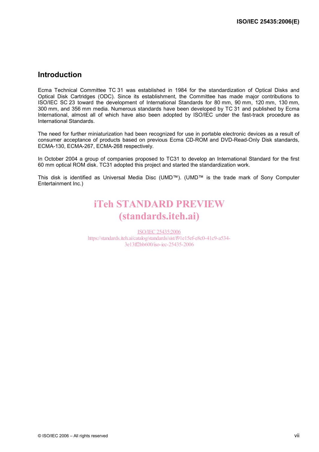# **Introduction**

Ecma Technical Committee TC 31 was established in 1984 for the standardization of Optical Disks and Optical Disk Cartridges (ODC). Since its establishment, the Committee has made major contributions to ISO/IEC SC 23 toward the development of International Standards for 80 mm, 90 mm, 120 mm, 130 mm, 300 mm, and 356 mm media. Numerous standards have been developed by TC 31 and published by Ecma International, almost all of which have also been adopted by ISO/IEC under the fast-track procedure as International Standards.

The need for further miniaturization had been recognized for use in portable electronic devices as a result of consumer acceptance of products based on previous Ecma CD-ROM and DVD-Read-Only Disk standards, ECMA-130, ECMA-267, ECMA-268 respectively.

In October 2004 a group of companies proposed to TC31 to develop an International Standard for the first 60 mm optical ROM disk. TC31 adopted this project and started the standardization work.

This disk is identified as Universal Media Disc (UMD™). (UMD™ is the trade mark of Sony Computer Entertainment Inc.)

# iTeh STANDARD PREVIEW (standards.iteh.ai)

ISO/IEC 25435:2006 https://standards.iteh.ai/catalog/standards/sist/f91e15ef-e8c0-41c9-a534- 3e13ff2bb600/iso-iec-25435-2006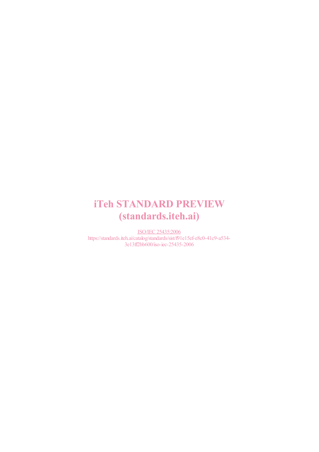# iTeh STANDARD PREVIEW (standards.iteh.ai)

ISO/IEC 25435:2006 https://standards.iteh.ai/catalog/standards/sist/f91e15ef-e8c0-41c9-a534- 3e13ff2bb600/iso-iec-25435-2006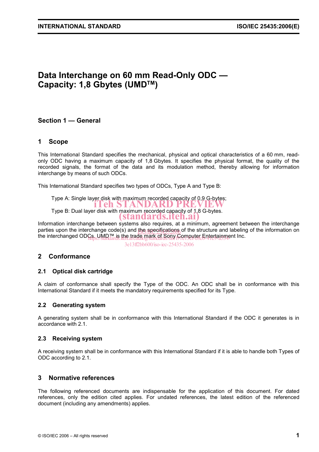# **Data Interchange on 60 mm Read-Only ODC — Capacity: 1,8 Gbytes (UMDTM)**

# **Section 1 — General**

# **1 Scope**

This International Standard specifies the mechanical, physical and optical characteristics of a 60 mm, readonly ODC having a maximum capacity of 1,8 Gbytes. It specifies the physical format, the quality of the recorded signals, the format of the data and its modulation method, thereby allowing for information interchange by means of such ODCs.

This International Standard specifies two types of ODCs, Type A and Type B:

Type A: Single layer disk with maximum recorded capacity of 0,9 G-bytes; Type B: Dual layer disk with maximum recorded capacity of 1,8 G-bytes. iTeh STANDARD PRE (standards.iteh.ai)

Information interchange between systems also requires, at a minimum, agreement between the interchange parties upon the interchange code(s) and the specifications of the structure and labeling of the information on the interchanged ODCs. UMD™ is the trade mark of Sony Computer Entertainment Inc.

3e13ff2bb600/iso-iec-25435-2006

# **2 Conformance**

## **2.1 Optical disk cartridge**

A claim of conformance shall specify the Type of the ODC. An ODC shall be in conformance with this International Standard if it meets the mandatory requirements specified for its Type.

## **2.2 Generating system**

A generating system shall be in conformance with this International Standard if the ODC it generates is in accordance with 2.1.

## **2.3 Receiving system**

A receiving system shall be in conformance with this International Standard if it is able to handle both Types of ODC according to 2.1.

# **3 Normative references**

The following referenced documents are indispensable for the application of this document. For dated references, only the edition cited applies. For undated references, the latest edition of the referenced document (including any amendments) applies.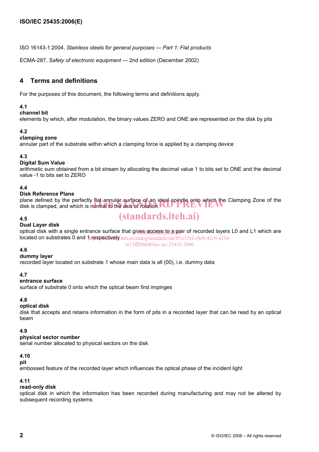ISO 16143-1:2004, *Stainless steels for general purposes — Part 1: Flat products*

ECMA-287, *Safety of electronic equipment* — 2nd edition (December 2002)

# **4 Terms and definitions**

For the purposes of this document, the following terms and definitions apply.

# **4.1**

## **channel bit**

elements by which, after modulation, the binary values ZERO and ONE are represented on the disk by pits

## **4.2**

#### **clamping zone**

annular part of the substrate within which a clamping force is applied by a clamping device

## **4.3**

## **Digital Sum Value**

arithmetic sum obtained from a bit stream by allocating the decimal value 1 to bits set to ONE and the decimal value -1 to bits set to ZERO

# **4.4**

## **Disk Reference Plane**

plane defined by the perfectly flat annular surface of an ideal spindle onto which the Clamping Zone of the plane defined by the perfectly tlat annular surface of an ideal spindle onto which the C<br>disk is clamped, and which is normal to the axis of rotation

# (standards.iteh.ai)

# **4.5**

**Dual Layer disk**  optical disk with a single entrance surface that gives access to a pair of recorded layers L0 and L1 which are located on substrates 0 and 1 trespectively itch ai/catalog/standards/sist/f91e15ef-e8c0-41c9-a534-

3e13ff2bb600/iso-iec-25435-2006

## **4.6**

#### **dummy layer**

recorded layer located on substrate 1 whose main data is all (00), i.e. dummy data

## **4.7**

## **entrance surface**

surface of substrate 0 onto which the optical beam first impinges

## **4.8**

## **optical disk**

disk that accepts and retains information in the form of pits in a recorded layer that can be read by an optical beam

## **4.9**

## **physical sector number**

serial number allocated to physical sectors on the disk

## **4.10**

# **pit**

embossed feature of the recorded layer which influences the optical phase of the incident light

## **4.11**

## **read-only disk**

optical disk in which the information has been recorded during manufacturing and may not be altered by subsequent recording systems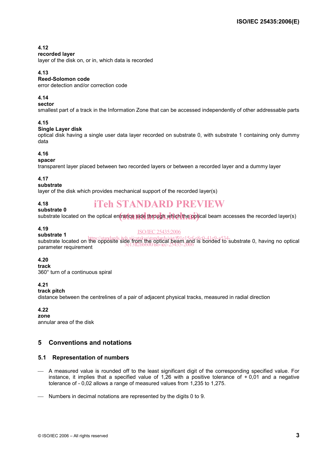# **4.12**

#### **recorded layer**

layer of the disk on, or in, which data is recorded

# **4.13**

# **Reed-Solomon code**

error detection and/or correction code

# **4.14**

**sector** 

smallest part of a track in the Information Zone that can be accessed independently of other addressable parts

# **4.15**

# **Single Layer disk**

optical disk having a single user data layer recorded on substrate 0, with substrate 1 containing only dummy data

# **4.16**

## **spacer**

transparent layer placed between two recorded layers or between a recorded layer and a dummy layer

# **4.17**

**substrate** 

layer of the disk which provides mechanical support of the recorded layer(s)

# **4.18**

# iTeh STANDARD PREVIEW

# **substrate 0**

substrate to which the optical entrance side through which the optical beam accesses the recorded layer(s)

#### **4.19 substrate 1**

# ISO/IEC 25435:2006

substrate in the opposite side from the optical beam and is bonded to substrate 0, having no optical substrate 0, having no optical parameter requirement 3e13ff2bb600/iso-iec-25435-2006

## **4.20**

## **track**

360° turn of a continuous spiral

## **4.21**

## **track pitch**

distance between the centrelines of a pair of adjacent physical tracks, measured in radial direction

# **4.22**

#### **zone**  annular area of the disk

# **5 Conventions and notations**

# **5.1 Representation of numbers**

- ⎯ A measured value is rounded off to the least significant digit of the corresponding specified value. For instance, it implies that a specified value of  $1,26$  with a positive tolerance of  $+0.01$  and a negative tolerance of - 0,02 allows a range of measured values from 1,235 to 1,275.
- ⎯ Numbers in decimal notations are represented by the digits 0 to 9.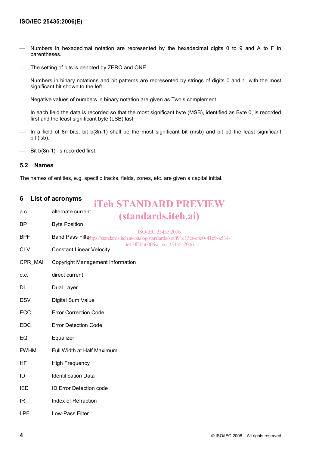- Numbers in hexadecimal notation are represented by the hexadecimal digits 0 to 9 and A to F in parentheses.
- The setting of bits is denoted by ZERO and ONE.
- Numbers in binary notations and bit patterns are represented by strings of digits 0 and 1, with the most significant bit shown to the left.
- Negative values of numbers in binary notation are given as Two's complement.
- $-$  In each field the data is recorded so that the most significant byte (MSB), identified as Byte 0, is recorded first and the least significant byte (LSB) last.
- In a field of 8n bits, bit b(8n-1) shall be the most significant bit (msb) and bit b0 the least significant bit (lsb).
- $-$  Bit  $b(8n-1)$  is recorded first.

## **5.2 Names**

The names of entities, e.g. specific tracks, fields, zones, etc. are given a capital initial.

# **6 List of acronyms**

iTeh STANDARD PREVIEW

| a.c.        | alternate current<br><i>(standards.iteh.ai)</i>                                                                       |  |
|-------------|-----------------------------------------------------------------------------------------------------------------------|--|
| ΒP          | <b>Byte Position</b>                                                                                                  |  |
| <b>BPF</b>  | <b>ISO/IEC 25435:2006</b><br>Band Pass Filterty s://standards.iteh.ai/catalog/standards/sist/f91e15ef-e8c0-41c9-a534- |  |
| <b>CLV</b>  | 3e13ff2bb600/iso-iec-25435-2006<br><b>Constant Linear Velocity</b>                                                    |  |
| CPR MAI     | <b>Copyright Management Information</b>                                                                               |  |
| d.c.        | direct current                                                                                                        |  |
| DL          | Dual Layer                                                                                                            |  |
| <b>DSV</b>  | Digital Sum Value                                                                                                     |  |
| ECC         | <b>Error Correction Code</b>                                                                                          |  |
| <b>EDC</b>  | <b>Error Detection Code</b>                                                                                           |  |
| EQ          | Equalizer                                                                                                             |  |
| <b>FWHM</b> | Full Width at Half Maximum                                                                                            |  |
| ΗF          | <b>High Frequency</b>                                                                                                 |  |
| ID          | <b>Identification Data</b>                                                                                            |  |
| <b>IED</b>  | <b>ID Error Detection code</b>                                                                                        |  |
| IR          | Index of Refraction                                                                                                   |  |
| LPF         | Low-Pass Filter                                                                                                       |  |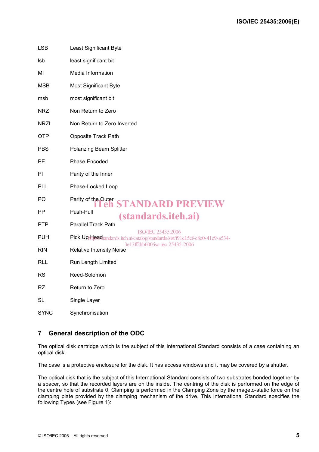| LSB | Least Significant Byte |
|-----|------------------------|
|     |                        |

| lsb | least significant bit |
|-----|-----------------------|
|-----|-----------------------|

MI Media Information

- MSB Most Significant Byte
- msb most significant bit
- NRZ Non Return to Zero
- NRZI Non Return to Zero Inverted
- OTP Opposite Track Path
- PBS Polarizing Beam Splitter
- PE Phase Encoded
- PI Parity of the Inner
- PLL Phase-Locked Loop

# PO Parity of the Outer<br> **iTeh STANDARD PREVIEW** PP Push-Pull

- PTP Parallel Track Path (standards.iteh.ai)
- PUH Pick Up<sub>htt</sub>ead t<sub>andards</sub>.iteh.ai/catalog/standards/sist/f91e15ef-e8c0-41c9-a534-ISO/IEC 25435:2006
	- 3e13ff2bb600/iso-iec-25435-2006
- RIN Relative Intensity Noise
- RLL Run Length Limited
- RS Reed-Solomon
- RZ Return to Zero
- SL Single Layer
- SYNC Synchronisation

# **7 General description of the ODC**

The optical disk cartridge which is the subject of this International Standard consists of a case containing an optical disk.

The case is a protective enclosure for the disk. It has access windows and it may be covered by a shutter.

The optical disk that is the subject of this International Standard consists of two substrates bonded together by a spacer, so that the recorded layers are on the inside. The centring of the disk is performed on the edge of the centre hole of substrate 0. Clamping is performed in the Clamping Zone by the mageto-static force on the clamping plate provided by the clamping mechanism of the drive. This International Standard specifies the following Types (see Figure 1):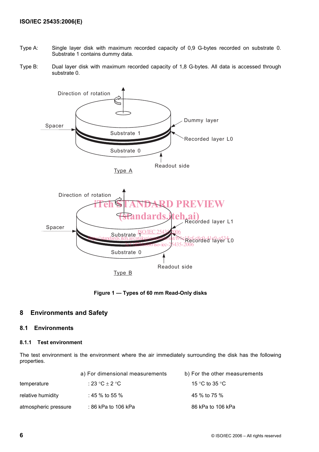- Type A: Single layer disk with maximum recorded capacity of 0,9 G-bytes recorded on substrate 0. Substrate 1 contains dummy data.
- Type B: Dual layer disk with maximum recorded capacity of 1,8 G-bytes. All data is accessed through substrate 0.



**Figure 1 — Types of 60 mm Read-Only disks** 

# **8 Environments and Safety**

# **8.1 Environments**

#### **8.1.1 Test environment**

The test environment is the environment where the air immediately surrounding the disk has the following properties.

|                      | a) For dimensional measurements   | b) For the other measurements |
|----------------------|-----------------------------------|-------------------------------|
| temperature          | $:23 \text{ °C} \pm 2 \text{ °C}$ | 15 °C to 35 °C                |
| relative humidity    | : 45 % to 55 %                    | 45 % to 75 %                  |
| atmospheric pressure | :86 kPa to 106 kPa                | 86 kPa to 106 kPa             |